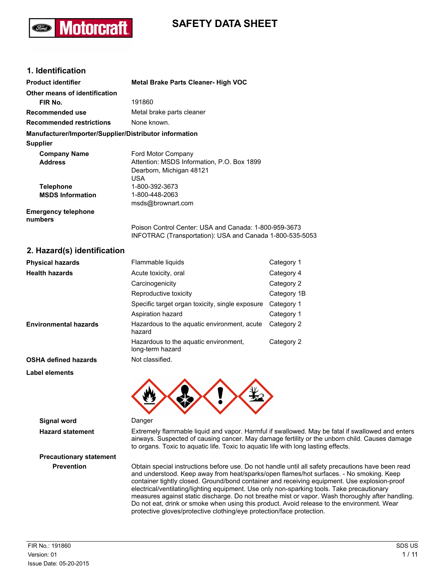# **SAFETY DATA SHEET**

## **1. Identification**

**lotorcra** 

| <b>Product identifier</b>                              | <b>Metal Brake Parts Cleaner- High VOC</b>                                                                        |
|--------------------------------------------------------|-------------------------------------------------------------------------------------------------------------------|
| Other means of identification                          |                                                                                                                   |
| FIR No.                                                | 191860                                                                                                            |
| Recommended use                                        | Metal brake parts cleaner                                                                                         |
| <b>Recommended restrictions</b>                        | None known.                                                                                                       |
| Manufacturer/Importer/Supplier/Distributor information |                                                                                                                   |
| <b>Supplier</b>                                        |                                                                                                                   |
| <b>Company Name</b>                                    | Ford Motor Company                                                                                                |
| <b>Address</b>                                         | Attention: MSDS Information, P.O. Box 1899                                                                        |
|                                                        | Dearborn, Michigan 48121                                                                                          |
|                                                        | USA                                                                                                               |
| <b>Telephone</b>                                       | 1-800-392-3673                                                                                                    |
| <b>MSDS Information</b>                                | 1-800-448-2063                                                                                                    |
|                                                        | msds@brownart.com                                                                                                 |
| <b>Emergency telephone</b><br>numbers                  |                                                                                                                   |
|                                                        | Poison Control Center: USA and Canada: 1-800-959-3673<br>INFOTRAC (Transportation): USA and Canada 1-800-535-5053 |

## **2. Hazard(s) identification**

| <b>Physical hazards</b>      | Flammable liquids                                         | Category 1  |
|------------------------------|-----------------------------------------------------------|-------------|
| <b>Health hazards</b>        | Acute toxicity, oral                                      | Category 4  |
|                              | Carcinogenicity                                           | Category 2  |
|                              | Reproductive toxicity                                     | Category 1B |
|                              | Specific target organ toxicity, single exposure           | Category 1  |
|                              | Aspiration hazard                                         | Category 1  |
| <b>Environmental hazards</b> | Hazardous to the aquatic environment, acute<br>hazard     | Category 2  |
|                              | Hazardous to the aquatic environment,<br>long-term hazard | Category 2  |
| <b>OSHA defined hazards</b>  | Not classified.                                           |             |
| Label elements               |                                                           |             |
|                              |                                                           |             |



# **Signal word** Danger

**Hazard statement** Extremely flammable liquid and vapor. Harmful if swallowed. May be fatal if swallowed and enters airways. Suspected of causing cancer. May damage fertility or the unborn child. Causes damage to organs. Toxic to aquatic life. Toxic to aquatic life with long lasting effects.

**Prevention** Obtain special instructions before use. Do not handle until all safety precautions have been read and understood. Keep away from heat/sparks/open flames/hot surfaces. - No smoking. Keep container tightly closed. Ground/bond container and receiving equipment. Use explosion-proof electrical/ventilating/lighting equipment. Use only non-sparking tools. Take precautionary measures against static discharge. Do not breathe mist or vapor. Wash thoroughly after handling. Do not eat, drink or smoke when using this product. Avoid release to the environment. Wear protective gloves/protective clothing/eye protection/face protection.

**Precautionary statement**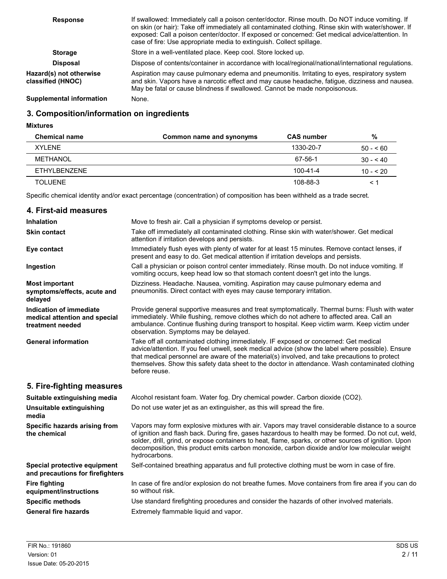| <b>Response</b>                              | If swallowed: Immediately call a poison center/doctor. Rinse mouth. Do NOT induce vomiting. If<br>on skin (or hair): Take off immediately all contaminated clothing. Rinse skin with water/shower. If<br>exposed: Call a poison center/doctor. If exposed or concerned: Get medical advice/attention. In<br>case of fire: Use appropriate media to extinguish. Collect spillage. |
|----------------------------------------------|----------------------------------------------------------------------------------------------------------------------------------------------------------------------------------------------------------------------------------------------------------------------------------------------------------------------------------------------------------------------------------|
| <b>Storage</b>                               | Store in a well-ventilated place. Keep cool. Store locked up.                                                                                                                                                                                                                                                                                                                    |
| <b>Disposal</b>                              | Dispose of contents/container in accordance with local/regional/national/international regulations.                                                                                                                                                                                                                                                                              |
| Hazard(s) not otherwise<br>classified (HNOC) | Aspiration may cause pulmonary edema and pneumonitis. Irritating to eyes, respiratory system<br>and skin. Vapors have a narcotic effect and may cause headache, fatigue, dizziness and nausea.<br>May be fatal or cause blindness if swallowed. Cannot be made nonpoisonous.                                                                                                     |
| <b>Supplemental information</b>              | None.                                                                                                                                                                                                                                                                                                                                                                            |

# **3. Composition/information on ingredients**

**Mixtures**

| <b>Chemical name</b> | Common name and synonyms | <b>CAS number</b> | %          |
|----------------------|--------------------------|-------------------|------------|
| XYI FNF              |                          | 1330-20-7         | $50 - 60$  |
| METHANOL             |                          | 67-56-1           | $30 - 40$  |
| FTHYL BENZENE        |                          | $100 - 41 - 4$    | $10 - 520$ |
| TOI UFNF             |                          | 108-88-3          | $\leq$ 1   |

Specific chemical identity and/or exact percentage (concentration) of composition has been withheld as a trade secret.

| 4. First-aid measures                                                        |                                                                                                                                                                                                                                                                                                                                                                                                                                    |
|------------------------------------------------------------------------------|------------------------------------------------------------------------------------------------------------------------------------------------------------------------------------------------------------------------------------------------------------------------------------------------------------------------------------------------------------------------------------------------------------------------------------|
| <b>Inhalation</b>                                                            | Move to fresh air. Call a physician if symptoms develop or persist.                                                                                                                                                                                                                                                                                                                                                                |
| <b>Skin contact</b>                                                          | Take off immediately all contaminated clothing. Rinse skin with water/shower. Get medical<br>attention if irritation develops and persists.                                                                                                                                                                                                                                                                                        |
| Eye contact                                                                  | Immediately flush eyes with plenty of water for at least 15 minutes. Remove contact lenses, if<br>present and easy to do. Get medical attention if irritation develops and persists.                                                                                                                                                                                                                                               |
| Ingestion                                                                    | Call a physician or poison control center immediately. Rinse mouth. Do not induce vomiting. If<br>vomiting occurs, keep head low so that stomach content doesn't get into the lungs.                                                                                                                                                                                                                                               |
| <b>Most important</b><br>symptoms/effects, acute and<br>delayed              | Dizziness. Headache. Nausea, vomiting. Aspiration may cause pulmonary edema and<br>pneumonitis. Direct contact with eyes may cause temporary irritation.                                                                                                                                                                                                                                                                           |
| Indication of immediate<br>medical attention and special<br>treatment needed | Provide general supportive measures and treat symptomatically. Thermal burns: Flush with water<br>immediately. While flushing, remove clothes which do not adhere to affected area. Call an<br>ambulance. Continue flushing during transport to hospital. Keep victim warm. Keep victim under<br>observation. Symptoms may be delayed.                                                                                             |
| <b>General information</b>                                                   | Take off all contaminated clothing immediately. IF exposed or concerned: Get medical<br>advice/attention. If you feel unwell, seek medical advice (show the label where possible). Ensure<br>that medical personnel are aware of the material(s) involved, and take precautions to protect<br>themselves. Show this safety data sheet to the doctor in attendance. Wash contaminated clothing<br>before reuse.                     |
| 5. Fire-fighting measures                                                    |                                                                                                                                                                                                                                                                                                                                                                                                                                    |
| Suitable extinguishing media                                                 | Alcohol resistant foam. Water fog. Dry chemical powder. Carbon dioxide (CO2).                                                                                                                                                                                                                                                                                                                                                      |
| Unsuitable extinguishing<br>media                                            | Do not use water jet as an extinguisher, as this will spread the fire.                                                                                                                                                                                                                                                                                                                                                             |
| Specific hazards arising from<br>the chemical                                | Vapors may form explosive mixtures with air. Vapors may travel considerable distance to a source<br>of ignition and flash back. During fire, gases hazardous to health may be formed. Do not cut, weld,<br>solder, drill, grind, or expose containers to heat, flame, sparks, or other sources of ignition. Upon<br>decomposition, this product emits carbon monoxide, carbon dioxide and/or low molecular weight<br>hydrocarbons. |
| Special protective equipment<br>and precautions for firefighters             | Self-contained breathing apparatus and full protective clothing must be worn in case of fire.                                                                                                                                                                                                                                                                                                                                      |
| <b>Fire fighting</b><br>equipment/instructions                               | In case of fire and/or explosion do not breathe fumes. Move containers from fire area if you can do<br>so without risk.                                                                                                                                                                                                                                                                                                            |
| <b>Specific methods</b>                                                      | Use standard firefighting procedures and consider the hazards of other involved materials.                                                                                                                                                                                                                                                                                                                                         |
| <b>General fire hazards</b>                                                  | Extremely flammable liquid and vapor.                                                                                                                                                                                                                                                                                                                                                                                              |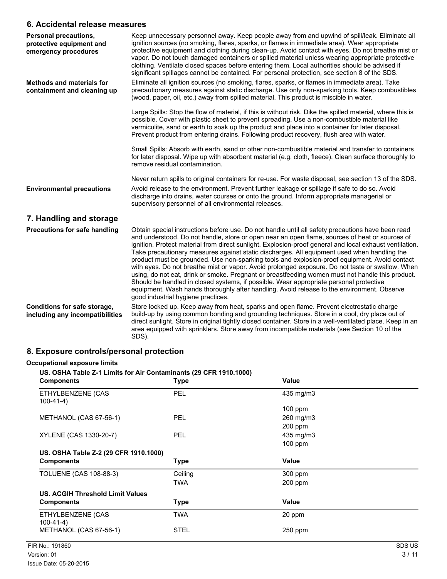## **6. Accidental release measures**

| Personal precautions,<br>protective equipment and<br>emergency procedures | Keep unnecessary personnel away. Keep people away from and upwind of spill/leak. Eliminate all<br>ignition sources (no smoking, flares, sparks, or flames in immediate area). Wear appropriate<br>protective equipment and clothing during clean-up. Avoid contact with eyes. Do not breathe mist or<br>vapor. Do not touch damaged containers or spilled material unless wearing appropriate protective<br>clothing. Ventilate closed spaces before entering them. Local authorities should be advised if<br>significant spillages cannot be contained. For personal protection, see section 8 of the SDS.                                                                                                                                                                                                                                                                                                                                          |
|---------------------------------------------------------------------------|------------------------------------------------------------------------------------------------------------------------------------------------------------------------------------------------------------------------------------------------------------------------------------------------------------------------------------------------------------------------------------------------------------------------------------------------------------------------------------------------------------------------------------------------------------------------------------------------------------------------------------------------------------------------------------------------------------------------------------------------------------------------------------------------------------------------------------------------------------------------------------------------------------------------------------------------------|
| <b>Methods and materials for</b><br>containment and cleaning up           | Eliminate all ignition sources (no smoking, flares, sparks, or flames in immediate area). Take<br>precautionary measures against static discharge. Use only non-sparking tools. Keep combustibles<br>(wood, paper, oil, etc.) away from spilled material. This product is miscible in water.                                                                                                                                                                                                                                                                                                                                                                                                                                                                                                                                                                                                                                                         |
|                                                                           | Large Spills: Stop the flow of material, if this is without risk. Dike the spilled material, where this is<br>possible. Cover with plastic sheet to prevent spreading. Use a non-combustible material like<br>vermiculite, sand or earth to soak up the product and place into a container for later disposal.<br>Prevent product from entering drains. Following product recovery, flush area with water.                                                                                                                                                                                                                                                                                                                                                                                                                                                                                                                                           |
|                                                                           | Small Spills: Absorb with earth, sand or other non-combustible material and transfer to containers<br>for later disposal. Wipe up with absorbent material (e.g. cloth, fleece). Clean surface thoroughly to<br>remove residual contamination.                                                                                                                                                                                                                                                                                                                                                                                                                                                                                                                                                                                                                                                                                                        |
|                                                                           | Never return spills to original containers for re-use. For waste disposal, see section 13 of the SDS.                                                                                                                                                                                                                                                                                                                                                                                                                                                                                                                                                                                                                                                                                                                                                                                                                                                |
| <b>Environmental precautions</b>                                          | Avoid release to the environment. Prevent further leakage or spillage if safe to do so. Avoid<br>discharge into drains, water courses or onto the ground. Inform appropriate managerial or<br>supervisory personnel of all environmental releases.                                                                                                                                                                                                                                                                                                                                                                                                                                                                                                                                                                                                                                                                                                   |
| 7. Handling and storage                                                   |                                                                                                                                                                                                                                                                                                                                                                                                                                                                                                                                                                                                                                                                                                                                                                                                                                                                                                                                                      |
| <b>Precautions for safe handling</b>                                      | Obtain special instructions before use. Do not handle until all safety precautions have been read<br>and understood. Do not handle, store or open near an open flame, sources of heat or sources of<br>ignition. Protect material from direct sunlight. Explosion-proof general and local exhaust ventilation.<br>Take precautionary measures against static discharges. All equipment used when handling the<br>product must be grounded. Use non-sparking tools and explosion-proof equipment. Avoid contact<br>with eyes. Do not breathe mist or vapor. Avoid prolonged exposure. Do not taste or swallow. When<br>using, do not eat, drink or smoke. Pregnant or breastfeeding women must not handle this product.<br>Should be handled in closed systems, if possible. Wear appropriate personal protective<br>equipment. Wash hands thoroughly after handling. Avoid release to the environment. Observe<br>good industrial hygiene practices. |
| Conditions for safe storage,<br>including any incompatibilities           | Store locked up. Keep away from heat, sparks and open flame. Prevent electrostatic charge<br>build-up by using common bonding and grounding techniques. Store in a cool, dry place out of<br>direct sunlight. Store in original tightly closed container. Store in a well-ventilated place. Keep in an<br>area equipped with sprinklers. Store away from incompatible materials (see Section 10 of the<br>SDS).                                                                                                                                                                                                                                                                                                                                                                                                                                                                                                                                      |

# **8. Exposure controls/personal protection**

# **Occupational exposure limits**

| <b>Components</b>                     | <b>Type</b> | Value     |  |
|---------------------------------------|-------------|-----------|--|
| ETHYLBENZENE (CAS<br>$100 - 41 - 4$   | <b>PEL</b>  | 435 mg/m3 |  |
|                                       |             | $100$ ppm |  |
| METHANOL (CAS 67-56-1)                | PEL         | 260 mg/m3 |  |
|                                       |             | $200$ ppm |  |
| XYLENE (CAS 1330-20-7)                | <b>PEL</b>  | 435 mg/m3 |  |
|                                       |             | $100$ ppm |  |
| US. OSHA Table Z-2 (29 CFR 1910.1000) |             |           |  |
| <b>Components</b>                     | Type        | Value     |  |
| <b>TOLUENE (CAS 108-88-3)</b>         | Ceiling     | 300 ppm   |  |
|                                       | TWA         | $200$ ppm |  |
| US. ACGIH Threshold Limit Values      |             |           |  |
| <b>Components</b>                     | Type        | Value     |  |
| ETHYLBENZENE (CAS<br>100-41-4)        | TWA         | 20 ppm    |  |
| METHANOL (CAS 67-56-1)                | <b>STEL</b> | $250$ ppm |  |
|                                       |             |           |  |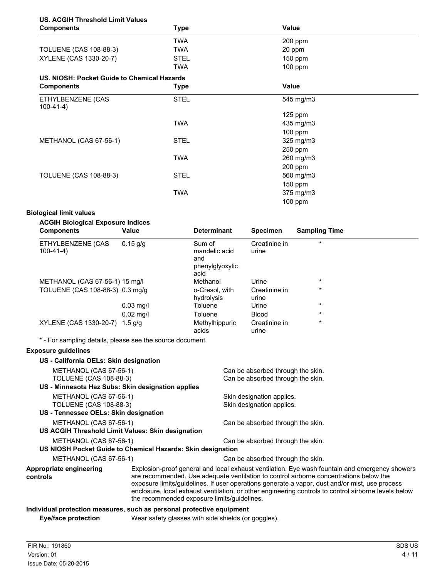# **US. ACGIH Threshold Limit Values**

| <b>Components</b>                           | <b>Type</b> | <b>Value</b> |  |
|---------------------------------------------|-------------|--------------|--|
|                                             | <b>TWA</b>  | 200 ppm      |  |
| TOLUENE (CAS 108-88-3)                      | TWA         | 20 ppm       |  |
| XYLENE (CAS 1330-20-7)                      | <b>STEL</b> | $150$ ppm    |  |
|                                             | <b>TWA</b>  | $100$ ppm    |  |
| US. NIOSH: Pocket Guide to Chemical Hazards |             |              |  |
| <b>Components</b>                           | Type        | <b>Value</b> |  |
| ETHYLBENZENE (CAS<br>$100-41-4)$            | <b>STEL</b> | 545 mg/m3    |  |
|                                             |             | $125$ ppm    |  |
|                                             | <b>TWA</b>  | 435 mg/m3    |  |
|                                             |             | $100$ ppm    |  |
| METHANOL (CAS 67-56-1)                      | <b>STEL</b> | 325 mg/m3    |  |
|                                             |             | 250 ppm      |  |
|                                             | <b>TWA</b>  | 260 mg/m3    |  |
|                                             |             | 200 ppm      |  |
| <b>TOLUENE (CAS 108-88-3)</b>               | <b>STEL</b> | 560 mg/m3    |  |
|                                             |             | $150$ ppm    |  |
|                                             | <b>TWA</b>  | 375 mg/m3    |  |
|                                             |             | 100 ppm      |  |

#### **Biological limit values**

| <b>ACGIH Biological Exposure Indices</b><br><b>Components</b> | Value       | <b>Determinant</b>                                        | <b>Specimen</b>        | <b>Sampling Time</b> |
|---------------------------------------------------------------|-------------|-----------------------------------------------------------|------------------------|----------------------|
| ETHYLBENZENE (CAS<br>$100-41-4)$                              | $0.15$ g/g  | Sum of<br>mandelic acid<br>and<br>phenylglyoxylic<br>acid | Creatinine in<br>urine | $\star$              |
| METHANOL (CAS 67-56-1) 15 mg/l                                |             | Methanol                                                  | Urine                  | $\star$              |
| TOLUENE (CAS 108-88-3) 0.3 mg/g                               |             | o-Cresol, with<br>hydrolysis                              | Creatinine in<br>urine | $\star$              |
|                                                               | $0.03$ mg/l | Toluene                                                   | Urine                  | $\star$              |
|                                                               | $0.02$ mg/l | Toluene                                                   | <b>Blood</b>           | $\star$              |
| XYLENE (CAS 1330-20-7)                                        | 1.5 $q/q$   | Methylhippuric<br>acids                                   | Creatinine in<br>urine | $\star$              |

\* - For sampling details, please see the source document.

## **Exposure guidelines**

| US - California OELs: Skin designation            |                                                                                                                                                                                                                                                                                                                                                                                                                                                   |                                   |
|---------------------------------------------------|---------------------------------------------------------------------------------------------------------------------------------------------------------------------------------------------------------------------------------------------------------------------------------------------------------------------------------------------------------------------------------------------------------------------------------------------------|-----------------------------------|
| METHANOL (CAS 67-56-1)                            |                                                                                                                                                                                                                                                                                                                                                                                                                                                   | Can be absorbed through the skin. |
| TOLUENE (CAS 108-88-3)                            |                                                                                                                                                                                                                                                                                                                                                                                                                                                   | Can be absorbed through the skin. |
| US - Minnesota Haz Subs: Skin designation applies |                                                                                                                                                                                                                                                                                                                                                                                                                                                   |                                   |
| METHANOL (CAS 67-56-1)                            |                                                                                                                                                                                                                                                                                                                                                                                                                                                   | Skin designation applies.         |
| TOLUENE (CAS 108-88-3)                            |                                                                                                                                                                                                                                                                                                                                                                                                                                                   | Skin designation applies.         |
| US - Tennessee OELs: Skin designation             |                                                                                                                                                                                                                                                                                                                                                                                                                                                   |                                   |
| METHANOL (CAS 67-56-1)                            |                                                                                                                                                                                                                                                                                                                                                                                                                                                   | Can be absorbed through the skin. |
| US ACGIH Threshold Limit Values: Skin designation |                                                                                                                                                                                                                                                                                                                                                                                                                                                   |                                   |
| METHANOL (CAS 67-56-1)                            |                                                                                                                                                                                                                                                                                                                                                                                                                                                   | Can be absorbed through the skin. |
|                                                   | US NIOSH Pocket Guide to Chemical Hazards: Skin designation                                                                                                                                                                                                                                                                                                                                                                                       |                                   |
| METHANOL (CAS 67-56-1)                            |                                                                                                                                                                                                                                                                                                                                                                                                                                                   | Can be absorbed through the skin. |
| Appropriate engineering<br>controls               | Explosion-proof general and local exhaust ventilation. Eye wash fountain and emergency showers<br>are recommended. Use adequate ventilation to control airborne concentrations below the<br>exposure limits/guidelines. If user operations generate a vapor, dust and/or mist, use process<br>enclosure, local exhaust ventilation, or other engineering controls to control airborne levels below<br>the recommended exposure limits/guidelines. |                                   |

### **Individual protection measures, such as personal protective equipment**

**Eye/face protection** Wear safety glasses with side shields (or goggles).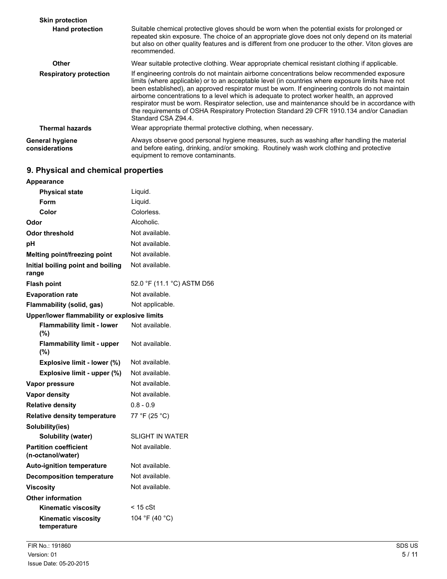| <b>Skin protection</b>            |                                                                                                                                                                                                                                                                                                                                                                                                                                                                                                                                                                                                                       |
|-----------------------------------|-----------------------------------------------------------------------------------------------------------------------------------------------------------------------------------------------------------------------------------------------------------------------------------------------------------------------------------------------------------------------------------------------------------------------------------------------------------------------------------------------------------------------------------------------------------------------------------------------------------------------|
| <b>Hand protection</b>            | Suitable chemical protective gloves should be worn when the potential exists for prolonged or<br>repeated skin exposure. The choice of an appropriate glove does not only depend on its material<br>but also on other quality features and is different from one producer to the other. Viton gloves are<br>recommended.                                                                                                                                                                                                                                                                                              |
| Other                             | Wear suitable protective clothing. Wear appropriate chemical resistant clothing if applicable.                                                                                                                                                                                                                                                                                                                                                                                                                                                                                                                        |
| <b>Respiratory protection</b>     | If engineering controls do not maintain airborne concentrations below recommended exposure<br>limits (where applicable) or to an acceptable level (in countries where exposure limits have not<br>been established), an approved respirator must be worn. If engineering controls do not maintain<br>airborne concentrations to a level which is adequate to protect worker health, an approved<br>respirator must be worn. Respirator selection, use and maintenance should be in accordance with<br>the requirements of OSHA Respiratory Protection Standard 29 CFR 1910.134 and/or Canadian<br>Standard CSA Z94.4. |
| <b>Thermal hazards</b>            | Wear appropriate thermal protective clothing, when necessary.                                                                                                                                                                                                                                                                                                                                                                                                                                                                                                                                                         |
| General hygiene<br>considerations | Always observe good personal hygiene measures, such as washing after handling the material<br>and before eating, drinking, and/or smoking. Routinely wash work clothing and protective<br>equipment to remove contaminants.                                                                                                                                                                                                                                                                                                                                                                                           |

# **9. Physical and chemical properties**

| <b>Appearance</b>                                 |                            |
|---------------------------------------------------|----------------------------|
| <b>Physical state</b>                             | Liquid.                    |
| Form                                              | Liquid.                    |
| Color                                             | Colorless.                 |
| Odor                                              | Alcoholic.                 |
| <b>Odor threshold</b>                             | Not available.             |
| рH                                                | Not available.             |
| Melting point/freezing point                      | Not available.             |
| Initial boiling point and boiling<br>range        | Not available.             |
| <b>Flash point</b>                                | 52.0 °F (11.1 °C) ASTM D56 |
| <b>Evaporation rate</b>                           | Not available.             |
| Flammability (solid, gas)                         | Not applicable.            |
| Upper/lower flammability or explosive limits      |                            |
| <b>Flammability limit - lower</b><br>(%)          | Not available.             |
| <b>Flammability limit - upper</b><br>(%)          | Not available.             |
| Explosive limit - lower (%)                       | Not available.             |
| Explosive limit - upper (%)                       | Not available.             |
| Vapor pressure                                    | Not available.             |
| <b>Vapor density</b>                              | Not available.             |
| <b>Relative density</b>                           | $0.8 - 0.9$                |
| <b>Relative density temperature</b>               | 77 °F (25 °C)              |
| Solubility(ies)                                   |                            |
| Solubility (water)                                | <b>SLIGHT IN WATER</b>     |
| <b>Partition coefficient</b><br>(n-octanol/water) | Not available.             |
| <b>Auto-ignition temperature</b>                  | Not available.             |
| <b>Decomposition temperature</b>                  | Not available.             |
| <b>Viscosity</b>                                  | Not available.             |
| <b>Other information</b>                          |                            |
| <b>Kinematic viscosity</b>                        | < 15 cSt                   |
| <b>Kinematic viscosity</b><br>temperature         | 104 °F (40 °C)             |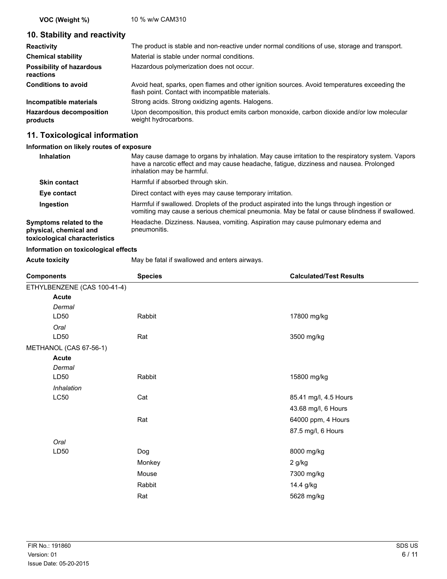**VOC (Weight %)** 10 % w/w CAM310

## **10. Stability and reactivity**

| <b>Reactivity</b>                            | The product is stable and non-reactive under normal conditions of use, storage and transport.                                                     |
|----------------------------------------------|---------------------------------------------------------------------------------------------------------------------------------------------------|
| <b>Chemical stability</b>                    | Material is stable under normal conditions.                                                                                                       |
| <b>Possibility of hazardous</b><br>reactions | Hazardous polymerization does not occur.                                                                                                          |
| <b>Conditions to avoid</b>                   | Avoid heat, sparks, open flames and other ignition sources. Avoid temperatures exceeding the<br>flash point. Contact with incompatible materials. |
| Incompatible materials                       | Strong acids. Strong oxidizing agents. Halogens.                                                                                                  |
| <b>Hazardous decomposition</b><br>products   | Upon decomposition, this product emits carbon monoxide, carbon dioxide and/or low molecular<br>weight hydrocarbons.                               |

## **11. Toxicological information**

### **Information on likely routes of exposure**

| Inhalation                                                                         | May cause damage to organs by inhalation. May cause irritation to the respiratory system. Vapors<br>have a narcotic effect and may cause headache, fatigue, dizziness and nausea. Prolonged<br>inhalation may be harmful. |
|------------------------------------------------------------------------------------|---------------------------------------------------------------------------------------------------------------------------------------------------------------------------------------------------------------------------|
| <b>Skin contact</b>                                                                | Harmful if absorbed through skin.                                                                                                                                                                                         |
| Eye contact                                                                        | Direct contact with eyes may cause temporary irritation.                                                                                                                                                                  |
| Ingestion                                                                          | Harmful if swallowed. Droplets of the product aspirated into the lungs through ingestion or<br>vomiting may cause a serious chemical pneumonia. May be fatal or cause blindness if swallowed.                             |
| Symptoms related to the<br>physical, chemical and<br>toxicological characteristics | Headache. Dizziness. Nausea, vomiting. Aspiration may cause pulmonary edema and<br>pneumonitis.                                                                                                                           |

### **Information on toxicological effects**

Acute toxicity **May be fatal if swallowed and enters airways.** 

| <b>Components</b>           | <b>Species</b> | <b>Calculated/Test Results</b> |
|-----------------------------|----------------|--------------------------------|
| ETHYLBENZENE (CAS 100-41-4) |                |                                |
| <b>Acute</b>                |                |                                |
| Dermal                      |                |                                |
| LD50                        | Rabbit         | 17800 mg/kg                    |
| Oral                        |                |                                |
| LD50                        | Rat            | 3500 mg/kg                     |
| METHANOL (CAS 67-56-1)      |                |                                |
| <b>Acute</b>                |                |                                |
| Dermal                      |                |                                |
| LD50                        | Rabbit         | 15800 mg/kg                    |
| Inhalation                  |                |                                |
| <b>LC50</b>                 | Cat            | 85.41 mg/l, 4.5 Hours          |
|                             |                | 43.68 mg/l, 6 Hours            |
|                             | Rat            | 64000 ppm, 4 Hours             |
|                             |                | 87.5 mg/l, 6 Hours             |
| Oral                        |                |                                |
| LD50                        | Dog            | 8000 mg/kg                     |
|                             | Monkey         | 2 g/kg                         |
|                             | Mouse          | 7300 mg/kg                     |
|                             | Rabbit         | 14.4 g/kg                      |
|                             | Rat            | 5628 mg/kg                     |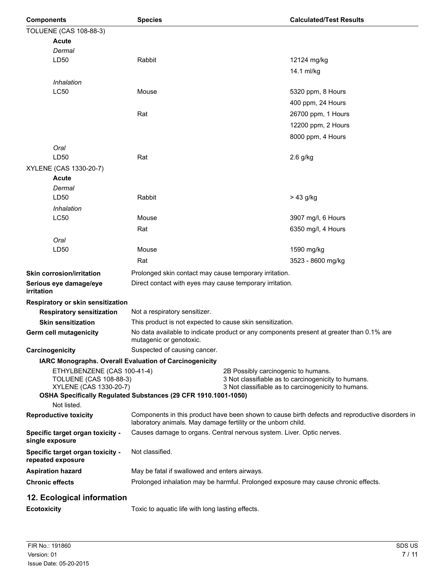| <b>Components</b>      |                                                         | <b>Species</b>                                                                                                                                                   |                                                                                            | <b>Calculated/Test Results</b>                                                     |  |
|------------------------|---------------------------------------------------------|------------------------------------------------------------------------------------------------------------------------------------------------------------------|--------------------------------------------------------------------------------------------|------------------------------------------------------------------------------------|--|
|                        | TOLUENE (CAS 108-88-3)                                  |                                                                                                                                                                  |                                                                                            |                                                                                    |  |
|                        | <b>Acute</b>                                            |                                                                                                                                                                  |                                                                                            |                                                                                    |  |
|                        | Dermal                                                  |                                                                                                                                                                  |                                                                                            |                                                                                    |  |
|                        | LD50                                                    | Rabbit                                                                                                                                                           |                                                                                            | 12124 mg/kg                                                                        |  |
|                        |                                                         |                                                                                                                                                                  |                                                                                            | 14.1 ml/kg                                                                         |  |
|                        | Inhalation                                              |                                                                                                                                                                  |                                                                                            |                                                                                    |  |
|                        | <b>LC50</b>                                             | Mouse                                                                                                                                                            |                                                                                            | 5320 ppm, 8 Hours                                                                  |  |
|                        |                                                         |                                                                                                                                                                  |                                                                                            | 400 ppm, 24 Hours                                                                  |  |
|                        |                                                         | Rat                                                                                                                                                              |                                                                                            | 26700 ppm, 1 Hours                                                                 |  |
|                        |                                                         |                                                                                                                                                                  |                                                                                            | 12200 ppm, 2 Hours                                                                 |  |
|                        |                                                         |                                                                                                                                                                  |                                                                                            | 8000 ppm, 4 Hours                                                                  |  |
|                        | Oral                                                    |                                                                                                                                                                  |                                                                                            |                                                                                    |  |
|                        | LD50                                                    | Rat                                                                                                                                                              |                                                                                            | $2.6$ g/kg                                                                         |  |
|                        | XYLENE (CAS 1330-20-7)                                  |                                                                                                                                                                  |                                                                                            |                                                                                    |  |
|                        | Acute                                                   |                                                                                                                                                                  |                                                                                            |                                                                                    |  |
|                        | Dermal                                                  |                                                                                                                                                                  |                                                                                            |                                                                                    |  |
|                        | LD50                                                    | Rabbit                                                                                                                                                           |                                                                                            | > 43 g/kg                                                                          |  |
|                        | Inhalation                                              |                                                                                                                                                                  |                                                                                            |                                                                                    |  |
|                        | <b>LC50</b>                                             | Mouse                                                                                                                                                            |                                                                                            | 3907 mg/l, 6 Hours                                                                 |  |
|                        |                                                         | Rat                                                                                                                                                              |                                                                                            | 6350 mg/l, 4 Hours                                                                 |  |
|                        | Oral                                                    |                                                                                                                                                                  |                                                                                            |                                                                                    |  |
|                        | LD50                                                    | Mouse                                                                                                                                                            |                                                                                            | 1590 mg/kg                                                                         |  |
|                        |                                                         | Rat                                                                                                                                                              |                                                                                            | 3523 - 8600 mg/kg                                                                  |  |
|                        | <b>Skin corrosion/irritation</b>                        | Prolonged skin contact may cause temporary irritation.                                                                                                           |                                                                                            |                                                                                    |  |
| irritation             | Serious eye damage/eye                                  | Direct contact with eyes may cause temporary irritation.                                                                                                         |                                                                                            |                                                                                    |  |
|                        | Respiratory or skin sensitization                       |                                                                                                                                                                  |                                                                                            |                                                                                    |  |
|                        | <b>Respiratory sensitization</b>                        | Not a respiratory sensitizer.                                                                                                                                    |                                                                                            |                                                                                    |  |
|                        | <b>Skin sensitization</b>                               | This product is not expected to cause skin sensitization.                                                                                                        |                                                                                            |                                                                                    |  |
|                        | <b>Germ cell mutagenicity</b>                           | No data available to indicate product or any components present at greater than 0.1% are<br>mutagenic or genotoxic.                                              |                                                                                            |                                                                                    |  |
|                        | Carcinogenicity                                         | Suspected of causing cancer.                                                                                                                                     |                                                                                            |                                                                                    |  |
|                        |                                                         | IARC Monographs. Overall Evaluation of Carcinogenicity                                                                                                           |                                                                                            |                                                                                    |  |
|                        | ETHYLBENZENE (CAS 100-41-4)                             |                                                                                                                                                                  | 2B Possibly carcinogenic to humans.<br>3 Not classifiable as to carcinogenicity to humans. |                                                                                    |  |
|                        | <b>TOLUENE (CAS 108-88-3)</b><br>XYLENE (CAS 1330-20-7) |                                                                                                                                                                  |                                                                                            | 3 Not classifiable as to carcinogenicity to humans.                                |  |
|                        |                                                         | OSHA Specifically Regulated Substances (29 CFR 1910.1001-1050)                                                                                                   |                                                                                            |                                                                                    |  |
|                        | Not listed.                                             |                                                                                                                                                                  |                                                                                            |                                                                                    |  |
|                        | <b>Reproductive toxicity</b>                            | Components in this product have been shown to cause birth defects and reproductive disorders in<br>laboratory animals. May damage fertility or the unborn child. |                                                                                            |                                                                                    |  |
|                        | Specific target organ toxicity -<br>single exposure     | Causes damage to organs. Central nervous system. Liver. Optic nerves.                                                                                            |                                                                                            |                                                                                    |  |
|                        | Specific target organ toxicity -<br>repeated exposure   | Not classified.                                                                                                                                                  |                                                                                            |                                                                                    |  |
|                        | <b>Aspiration hazard</b>                                | May be fatal if swallowed and enters airways.                                                                                                                    |                                                                                            |                                                                                    |  |
| <b>Chronic effects</b> |                                                         |                                                                                                                                                                  |                                                                                            | Prolonged inhalation may be harmful. Prolonged exposure may cause chronic effects. |  |
|                        | 12. Ecological information                              |                                                                                                                                                                  |                                                                                            |                                                                                    |  |
| <b>Ecotoxicity</b>     |                                                         | Toxic to aquatic life with long lasting effects.                                                                                                                 |                                                                                            |                                                                                    |  |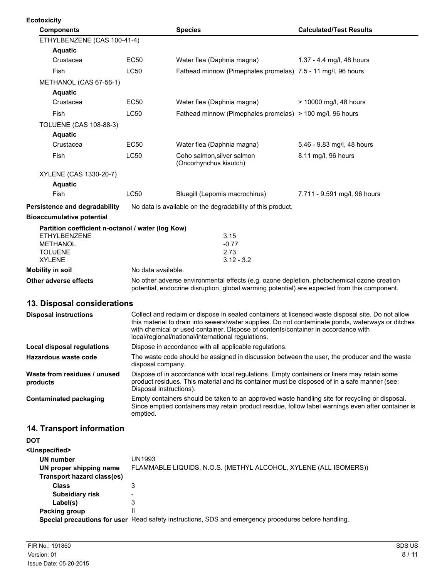| <b>Ecotoxicity</b>                                                |                                                                                                                                                                                                                                                                                                                                                   |                                                                                              |                                |
|-------------------------------------------------------------------|---------------------------------------------------------------------------------------------------------------------------------------------------------------------------------------------------------------------------------------------------------------------------------------------------------------------------------------------------|----------------------------------------------------------------------------------------------|--------------------------------|
| <b>Components</b>                                                 |                                                                                                                                                                                                                                                                                                                                                   | <b>Species</b>                                                                               | <b>Calculated/Test Results</b> |
| ETHYLBENZENE (CAS 100-41-4)                                       |                                                                                                                                                                                                                                                                                                                                                   |                                                                                              |                                |
| <b>Aquatic</b>                                                    |                                                                                                                                                                                                                                                                                                                                                   |                                                                                              |                                |
| Crustacea                                                         | <b>EC50</b>                                                                                                                                                                                                                                                                                                                                       | Water flea (Daphnia magna)                                                                   | 1.37 - 4.4 mg/l, 48 hours      |
| Fish                                                              | <b>LC50</b>                                                                                                                                                                                                                                                                                                                                       | Fathead minnow (Pimephales promelas) 7.5 - 11 mg/l, 96 hours                                 |                                |
| METHANOL (CAS 67-56-1)                                            |                                                                                                                                                                                                                                                                                                                                                   |                                                                                              |                                |
| <b>Aquatic</b>                                                    |                                                                                                                                                                                                                                                                                                                                                   |                                                                                              |                                |
| Crustacea                                                         | EC50                                                                                                                                                                                                                                                                                                                                              | Water flea (Daphnia magna)                                                                   | > 10000 mg/l, 48 hours         |
| Fish                                                              | <b>LC50</b>                                                                                                                                                                                                                                                                                                                                       | Fathead minnow (Pimephales promelas) > 100 mg/l, 96 hours                                    |                                |
| <b>TOLUENE (CAS 108-88-3)</b>                                     |                                                                                                                                                                                                                                                                                                                                                   |                                                                                              |                                |
| <b>Aquatic</b>                                                    |                                                                                                                                                                                                                                                                                                                                                   |                                                                                              |                                |
| Crustacea                                                         | <b>EC50</b>                                                                                                                                                                                                                                                                                                                                       | Water flea (Daphnia magna)                                                                   | 5.46 - 9.83 mg/l, 48 hours     |
| Fish                                                              | LC50                                                                                                                                                                                                                                                                                                                                              | Coho salmon, silver salmon<br>(Oncorhynchus kisutch)                                         | 8.11 mg/l, 96 hours            |
| XYLENE (CAS 1330-20-7)                                            |                                                                                                                                                                                                                                                                                                                                                   |                                                                                              |                                |
| <b>Aquatic</b>                                                    |                                                                                                                                                                                                                                                                                                                                                   |                                                                                              |                                |
| Fish                                                              | <b>LC50</b>                                                                                                                                                                                                                                                                                                                                       | Bluegill (Lepomis macrochirus)                                                               | 7.711 - 9.591 mg/l, 96 hours   |
| Persistence and degradability<br><b>Bioaccumulative potential</b> |                                                                                                                                                                                                                                                                                                                                                   | No data is available on the degradability of this product.                                   |                                |
| Partition coefficient n-octanol / water (log Kow)                 |                                                                                                                                                                                                                                                                                                                                                   |                                                                                              |                                |
| <b>ETHYLBENZENE</b>                                               |                                                                                                                                                                                                                                                                                                                                                   | 3.15                                                                                         |                                |
| <b>METHANOL</b>                                                   |                                                                                                                                                                                                                                                                                                                                                   | $-0.77$                                                                                      |                                |
| <b>TOLUENE</b><br><b>XYLENE</b>                                   |                                                                                                                                                                                                                                                                                                                                                   | 2.73                                                                                         |                                |
| <b>Mobility in soil</b>                                           | $3.12 - 3.2$<br>No data available.                                                                                                                                                                                                                                                                                                                |                                                                                              |                                |
| Other adverse effects                                             | No other adverse environmental effects (e.g. ozone depletion, photochemical ozone creation                                                                                                                                                                                                                                                        |                                                                                              |                                |
|                                                                   |                                                                                                                                                                                                                                                                                                                                                   | potential, endocrine disruption, global warming potential) are expected from this component. |                                |
| 13. Disposal considerations                                       |                                                                                                                                                                                                                                                                                                                                                   |                                                                                              |                                |
| <b>Disposal instructions</b>                                      | Collect and reclaim or dispose in sealed containers at licensed waste disposal site. Do not allow<br>this material to drain into sewers/water supplies. Do not contaminate ponds, waterways or ditches<br>with chemical or used container. Dispose of contents/container in accordance with<br>local/regional/national/international regulations. |                                                                                              |                                |
| <b>Local disposal regulations</b>                                 | Dispose in accordance with all applicable regulations.                                                                                                                                                                                                                                                                                            |                                                                                              |                                |
| Hazardous waste code                                              | The waste code should be assigned in discussion between the user, the producer and the waste<br>disposal company.                                                                                                                                                                                                                                 |                                                                                              |                                |
| Waste from residues / unused<br>products                          | Dispose of in accordance with local regulations. Empty containers or liners may retain some<br>product residues. This material and its container must be disposed of in a safe manner (see:<br>Disposal instructions).                                                                                                                            |                                                                                              |                                |
| <b>Contaminated packaging</b>                                     | Empty containers should be taken to an approved waste handling site for recycling or disposal.<br>Since emptied containers may retain product residue, follow label warnings even after container is<br>emptied.                                                                                                                                  |                                                                                              |                                |
| 14. Transport information                                         |                                                                                                                                                                                                                                                                                                                                                   |                                                                                              |                                |
| <b>DOT</b>                                                        |                                                                                                                                                                                                                                                                                                                                                   |                                                                                              |                                |
| <unspecified></unspecified>                                       |                                                                                                                                                                                                                                                                                                                                                   |                                                                                              |                                |
| <b>UN number</b>                                                  | <b>UN1993</b>                                                                                                                                                                                                                                                                                                                                     |                                                                                              |                                |
| UN proper shipping name<br>Transport hazard class(es)             |                                                                                                                                                                                                                                                                                                                                                   | FLAMMABLE LIQUIDS, N.O.S. (METHYL ALCOHOL, XYLENE (ALL ISOMERS))                             |                                |
| <b>Class</b><br><b>Subsidiary risk</b>                            | 3                                                                                                                                                                                                                                                                                                                                                 |                                                                                              |                                |
|                                                                   |                                                                                                                                                                                                                                                                                                                                                   |                                                                                              |                                |

**Label(s)** 3<br> **king group** 11 **Packing group Special precautions for user** Read safety instructions, SDS and emergency procedures before handling.

**Subsidiary risk** Fig. 2. The capacity of  $\frac{1}{3}$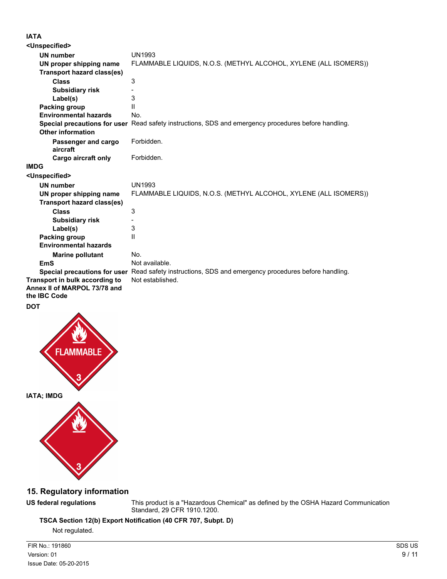## **IATA**

| <unspecified></unspecified>                                                    |                                                                                                      |
|--------------------------------------------------------------------------------|------------------------------------------------------------------------------------------------------|
| <b>UN number</b>                                                               | <b>UN1993</b>                                                                                        |
| UN proper shipping name                                                        | FLAMMABLE LIQUIDS, N.O.S. (METHYL ALCOHOL, XYLENE (ALL ISOMERS))                                     |
| <b>Transport hazard class(es)</b>                                              |                                                                                                      |
| <b>Class</b>                                                                   | 3                                                                                                    |
| <b>Subsidiary risk</b>                                                         |                                                                                                      |
| Label(s)                                                                       | 3                                                                                                    |
| Packing group                                                                  | $\mathbf{H}$                                                                                         |
| <b>Environmental hazards</b>                                                   | No.                                                                                                  |
|                                                                                | Special precautions for user Read safety instructions, SDS and emergency procedures before handling. |
| <b>Other information</b>                                                       |                                                                                                      |
| Passenger and cargo                                                            | Forbidden.                                                                                           |
| aircraft                                                                       |                                                                                                      |
| Cargo aircraft only                                                            | Forbidden.                                                                                           |
| <b>IMDG</b>                                                                    |                                                                                                      |
| <unspecified></unspecified>                                                    |                                                                                                      |
| <b>UN number</b>                                                               | <b>UN1993</b>                                                                                        |
| UN proper shipping name                                                        | FLAMMABLE LIQUIDS, N.O.S. (METHYL ALCOHOL, XYLENE (ALL ISOMERS))                                     |
| <b>Transport hazard class(es)</b>                                              |                                                                                                      |
| <b>Class</b>                                                                   | 3                                                                                                    |
| <b>Subsidiary risk</b>                                                         |                                                                                                      |
| Label(s)                                                                       | 3                                                                                                    |
| Packing group                                                                  | Ш                                                                                                    |
| <b>Environmental hazards</b>                                                   |                                                                                                      |
| <b>Marine pollutant</b>                                                        | No.                                                                                                  |
| <b>EmS</b>                                                                     | Not available.                                                                                       |
|                                                                                | Special precautions for user Read safety instructions, SDS and emergency procedures before handling. |
| Transport in bulk according to<br>Annex II of MARPOL 73/78 and<br>the IBC Code | Not established.                                                                                     |
| <b>DOT</b>                                                                     |                                                                                                      |





# **15. Regulatory information**

**US federal regulations** This product is a "Hazardous Chemical" as defined by the OSHA Hazard Communication Standard, 29 CFR 1910.1200.

**TSCA Section 12(b) Export Notification (40 CFR 707, Subpt. D)**

Not regulated.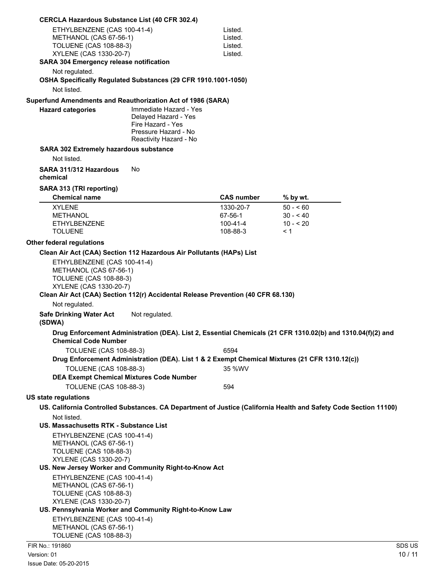| <b>CERCLA Hazardous Substance List (40 CFR 302.4)</b>                                                            |                                                                                                                       |                   |                                                                                                                  |        |
|------------------------------------------------------------------------------------------------------------------|-----------------------------------------------------------------------------------------------------------------------|-------------------|------------------------------------------------------------------------------------------------------------------|--------|
| ETHYLBENZENE (CAS 100-41-4)                                                                                      |                                                                                                                       | Listed.           |                                                                                                                  |        |
| METHANOL (CAS 67-56-1)                                                                                           |                                                                                                                       | Listed.           |                                                                                                                  |        |
| <b>TOLUENE (CAS 108-88-3)</b>                                                                                    |                                                                                                                       | Listed.           |                                                                                                                  |        |
| XYLENE (CAS 1330-20-7)                                                                                           |                                                                                                                       | Listed.           |                                                                                                                  |        |
| SARA 304 Emergency release notification                                                                          |                                                                                                                       |                   |                                                                                                                  |        |
| Not regulated.                                                                                                   |                                                                                                                       |                   |                                                                                                                  |        |
| OSHA Specifically Regulated Substances (29 CFR 1910.1001-1050)                                                   |                                                                                                                       |                   |                                                                                                                  |        |
| Not listed.                                                                                                      |                                                                                                                       |                   |                                                                                                                  |        |
| Superfund Amendments and Reauthorization Act of 1986 (SARA)                                                      |                                                                                                                       |                   |                                                                                                                  |        |
| <b>Hazard categories</b>                                                                                         | Immediate Hazard - Yes<br>Delayed Hazard - Yes<br>Fire Hazard - Yes<br>Pressure Hazard - No<br>Reactivity Hazard - No |                   |                                                                                                                  |        |
| <b>SARA 302 Extremely hazardous substance</b>                                                                    |                                                                                                                       |                   |                                                                                                                  |        |
| Not listed.                                                                                                      |                                                                                                                       |                   |                                                                                                                  |        |
| SARA 311/312 Hazardous                                                                                           | No                                                                                                                    |                   |                                                                                                                  |        |
| chemical                                                                                                         |                                                                                                                       |                   |                                                                                                                  |        |
|                                                                                                                  |                                                                                                                       |                   |                                                                                                                  |        |
| SARA 313 (TRI reporting)                                                                                         |                                                                                                                       |                   |                                                                                                                  |        |
| <b>Chemical name</b>                                                                                             |                                                                                                                       | <b>CAS number</b> | % by wt.                                                                                                         |        |
| <b>XYLENE</b>                                                                                                    |                                                                                                                       | 1330-20-7         | $50 - 60$                                                                                                        |        |
| <b>METHANOL</b>                                                                                                  |                                                                                                                       | 67-56-1           | $30 - 40$                                                                                                        |        |
| <b>ETHYLBENZENE</b>                                                                                              |                                                                                                                       | 100-41-4          | $10 - 20$                                                                                                        |        |
| <b>TOLUENE</b>                                                                                                   |                                                                                                                       | 108-88-3          | < 1                                                                                                              |        |
| Other federal regulations                                                                                        |                                                                                                                       |                   |                                                                                                                  |        |
| Clean Air Act (CAA) Section 112 Hazardous Air Pollutants (HAPs) List                                             |                                                                                                                       |                   |                                                                                                                  |        |
| ETHYLBENZENE (CAS 100-41-4)<br>METHANOL (CAS 67-56-1)<br><b>TOLUENE (CAS 108-88-3)</b><br>XYLENE (CAS 1330-20-7) |                                                                                                                       |                   |                                                                                                                  |        |
| Clean Air Act (CAA) Section 112(r) Accidental Release Prevention (40 CFR 68.130)                                 |                                                                                                                       |                   |                                                                                                                  |        |
| Not regulated.                                                                                                   |                                                                                                                       |                   |                                                                                                                  |        |
| <b>Safe Drinking Water Act</b><br>(SDWA)                                                                         | Not regulated.                                                                                                        |                   |                                                                                                                  |        |
| <b>Chemical Code Number</b>                                                                                      |                                                                                                                       |                   | Drug Enforcement Administration (DEA). List 2, Essential Chemicals (21 CFR 1310.02(b) and 1310.04(f)(2) and      |        |
| <b>TOLUENE (CAS 108-88-3)</b>                                                                                    |                                                                                                                       | 6594              |                                                                                                                  |        |
|                                                                                                                  |                                                                                                                       |                   | Drug Enforcement Administration (DEA). List 1 & 2 Exempt Chemical Mixtures (21 CFR 1310.12(c))                   |        |
| <b>TOLUENE (CAS 108-88-3)</b>                                                                                    |                                                                                                                       | 35 %WV            |                                                                                                                  |        |
|                                                                                                                  | <b>DEA Exempt Chemical Mixtures Code Number</b>                                                                       |                   |                                                                                                                  |        |
| <b>TOLUENE (CAS 108-88-3)</b>                                                                                    |                                                                                                                       | 594               |                                                                                                                  |        |
|                                                                                                                  |                                                                                                                       |                   |                                                                                                                  |        |
| <b>US state regulations</b>                                                                                      |                                                                                                                       |                   |                                                                                                                  |        |
|                                                                                                                  |                                                                                                                       |                   | US. California Controlled Substances. CA Department of Justice (California Health and Safety Code Section 11100) |        |
| Not listed.                                                                                                      |                                                                                                                       |                   |                                                                                                                  |        |
| US. Massachusetts RTK - Substance List                                                                           |                                                                                                                       |                   |                                                                                                                  |        |
| ETHYLBENZENE (CAS 100-41-4)<br>METHANOL (CAS 67-56-1)<br><b>TOLUENE (CAS 108-88-3)</b><br>XYLENE (CAS 1330-20-7) |                                                                                                                       |                   |                                                                                                                  |        |
| US. New Jersey Worker and Community Right-to-Know Act                                                            |                                                                                                                       |                   |                                                                                                                  |        |
| ETHYLBENZENE (CAS 100-41-4)                                                                                      |                                                                                                                       |                   |                                                                                                                  |        |
| METHANOL (CAS 67-56-1)                                                                                           |                                                                                                                       |                   |                                                                                                                  |        |
| <b>TOLUENE (CAS 108-88-3)</b>                                                                                    |                                                                                                                       |                   |                                                                                                                  |        |
| XYLENE (CAS 1330-20-7)                                                                                           |                                                                                                                       |                   |                                                                                                                  |        |
| US. Pennsylvania Worker and Community Right-to-Know Law                                                          |                                                                                                                       |                   |                                                                                                                  |        |
| ETHYLBENZENE (CAS 100-41-4)                                                                                      |                                                                                                                       |                   |                                                                                                                  |        |
| METHANOL (CAS 67-56-1)                                                                                           |                                                                                                                       |                   |                                                                                                                  |        |
| <b>TOLUENE (CAS 108-88-3)</b>                                                                                    |                                                                                                                       |                   |                                                                                                                  |        |
| FIR No.: 191860                                                                                                  |                                                                                                                       |                   |                                                                                                                  | SDS US |
| Version: 01                                                                                                      |                                                                                                                       |                   |                                                                                                                  | 10/11  |